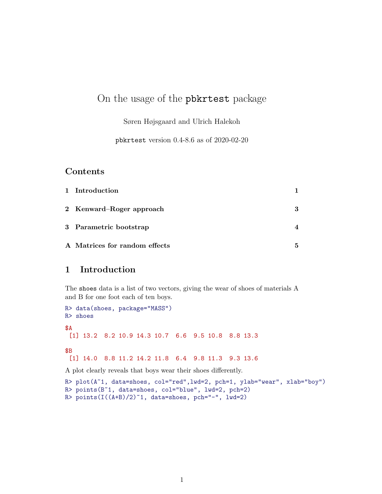# On the usage of the pbkrtest package

Søren Højsgaard and Ulrich Halekoh

pbkrtest version 0.4-8.6 as of 2020-02-20

#### Contents

| 1 Introduction                |   |
|-------------------------------|---|
| 2 Kenward-Roger approach      | 3 |
| 3 Parametric bootstrap        |   |
| A Matrices for random effects | 5 |

# 1 Introduction

The shoes data is a list of two vectors, giving the wear of shoes of materials A and B for one foot each of ten boys.

```
R> data(shoes, package="MASS")
R> shoes
$A
 [1] 13.2 8.2 10.9 14.3 10.7 6.6 9.5 10.8 8.8 13.3
$B
 [1] 14.0 8.8 11.2 14.2 11.8 6.4 9.8 11.3 9.3 13.6
```
A plot clearly reveals that boys wear their shoes differently.

```
R> plot(A~1, data=shoes, col="red",lwd=2, pch=1, ylab="wear", xlab="boy")
R> points(B~1, data=shoes, col="blue", lwd=2, pch=2)
R> points(I((A+B)/2)^*1, data=shoes, pch="-", 1wd=2)
```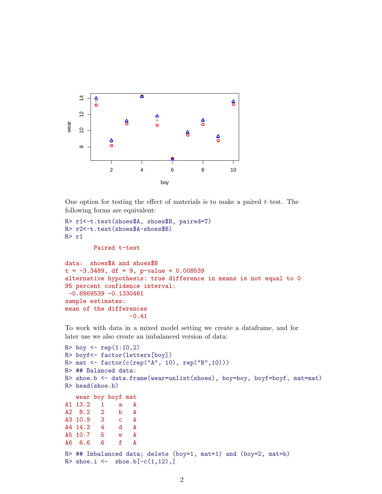

One option for testing the effect of materials is to make a paired  $t$ -test. The following forms are equivalent:

```
R> r1<-t.test(shoes$A, shoes$B, paired=T)
R> r2<-t.test(shoes$A-shoes$B)
R> r1
        Paired t-test
data: shoes$A and shoes$B
t = -3.3489, df = 9, p-value = 0.008539
alternative hypothesis: true difference in means is not equal to 0
95 percent confidence interval:
 -0.6869539 -0.1330461sample estimates:
mean of the differences
                  -0.41
```
To work with data in a mixed model setting we create a dataframe, and for later use we also create an imbalanced version of data:

```
R> boy \le rep(1:10,2)R> boyf<- factor(letters[boy])
R> mat <- factor(c(rep("A", 10), rep("B",10)))
R> ## Balanced data:
R> shoe.b <- data.frame(wear=unlist(shoes), boy=boy, boyf=boyf, mat=mat)
R> head(shoe.b)
   wear boy boyf mat
A1 13.2 1 a A<br>A2 8.2 2 b A
A2 8.2 2 b A
A3 10.9 3 c A
A4 14.3 4 d A
A5 10.7 5 e A
A6 6.6 6 f A
R> ## Imbalanced data; delete (boy=1, mat=1) and (boy=2, mat=b)
R> shoe.i \leftarrow shoe.b[-c(1,12),]
```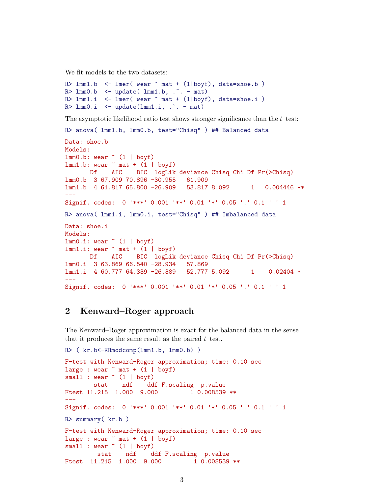We fit models to the two datasets:

```
R> lmm1.b <- lmm (wear \tilde{m} mat + (l\vert boyf), data=shoe.b)
R > 1mm0.b < - update(1mm1.b, .7. - mat)R > 1mm1.i <- lmer( wear ~ mat + (1|boyf), data=shoe.i)R > 1mm0.i <- update(lmm1.i, \ldots - mat)
```
The asymptotic likelihood ratio test shows stronger significance than the  $t$ -test:

```
R> anova( lmm1.b, lmm0.b, test="Chisq" ) ## Balanced data
```

```
Data: shoe.b
Models:
lmm0.b: wear ~ (1 | boyf)lmm1.b: wear mat + (1 | boyf)Df AIC BIC logLik deviance Chisq Chi Df Pr(>Chisq)
lmm0.b 3 67.909 70.896 -30.955 61.909
lmm1.b 4 61.817 65.800 -26.909 53.817 8.092 1 0.004446 **
---
Signif. codes: 0 '***' 0.001 '**' 0.01 '*' 0.05 '.' 0.1 ' ' 1
R> anova( lmm1.i, lmm0.i, test="Chisq" ) ## Imbalanced data
Data: shoe.i
Models:
lmm0.i: wear (1 | boyf)
lmm1.i: wear mat + (1 | boyf)Df AIC BIC logLik deviance Chisq Chi Df Pr(>Chisq)
lmm0.i 3 63.869 66.540 -28.934 57.869
lmm1.i 4 60.777 64.339 -26.389 52.777 5.092 1 0.02404 *
---Signif. codes: 0 '***' 0.001 '**' 0.01 '*' 0.05 '.' 0.1 ' ' 1
```
## 2 Kenward–Roger approach

The Kenward–Roger approximation is exact for the balanced data in the sense that it produces the same result as the paired  $t$ –test.

```
R> ( kr.b<-KRmodcomp(lmm1.b, lmm0.b) )
F-test with Kenward-Roger approximation; time: 0.10 sec
large : wear \tilde{m} mat + (1 | boyf)
small : wear (1 | boyf)stat ndf ddf F.scaling p.value
Ftest 11.215  1.000  9.000  1  0.008539 **
---
Signif. codes: 0 '***' 0.001 '**' 0.01 '*' 0.05 '.' 0.1 ' ' 1
R> summary( kr.b )
F-test with Kenward-Roger approximation; time: 0.10 sec
large : wear * mat + (1 | boyf)
small : wear \tilde{ } (1 | boyf)
        stat ndf ddf F.scaling p.value
Ftest 11.215 1.000 9.000 1 0.008539 **
```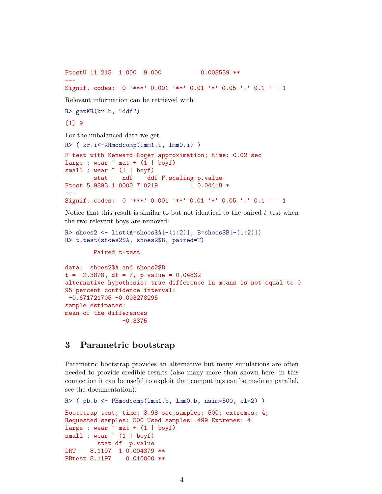```
FtestU 11.215  1.000  9.000  0.008539 **
---
Signif. codes: 0 '***' 0.001 '**' 0.01 '*' 0.05 '.' 0.1 ' ' 1
Relevant information can be retrieved with
R> getKR(kr.b, "ddf")
[1] 9
For the imbalanced data we get
R> ( kr.i<-KRmodcomp(lmm1.i, lmm0.i) )
F-test with Kenward-Roger approximation; time: 0.02 sec
large : wear * mat + (1 | boyf)
small : wear ~ (1 | boyf)stat ndf ddf F.scaling p.value
Ftest 5.9893 1.0000 7.0219 1 0.04418 *
---
Signif. codes: 0 '***' 0.001 '**' 0.01 '*' 0.05 '.' 0.1 ' ' 1
```
Notice that this result is similar to but not identical to the paired  $t$ -test when the two relevant boys are removed:

```
R> shoes2 <- list(A=shoesA[-(1:2)], B=shoesB[-(1:2)])
R> t.test(shoes2$A, shoes2$B, paired=T)
```
Paired t-test

```
data: shoes2$A and shoes2$B
t = -2.3878, df = 7, p-value = 0.04832
alternative hypothesis: true difference in means is not equal to 0
95 percent confidence interval:
-0.671721705 -0.003278295
sample estimates:
mean of the differences
                -0.3375
```
### 3 Parametric bootstrap

Parametric bootstrap provides an alternative but many simulations are often needed to provide credible results (also many more than shown here; in this connection it can be useful to exploit that computings can be made en parallel, see the documentation):

```
R ( pb.b <- PBmodcomp(lmm1.b, lmm0.b, nsim=500, cl=2) )
Bootstrap test; time: 3.98 sec;samples: 500; extremes: 4;
Requested samples: 500 Used samples: 499 Extremes: 4
large : wear * mat + (1 | boyf)
small : wear \tilde{ } (1 | boyf)
        stat df p.value
LRT 8.1197 1 0.004379 **
PBtest 8.1197 0.010000 **
```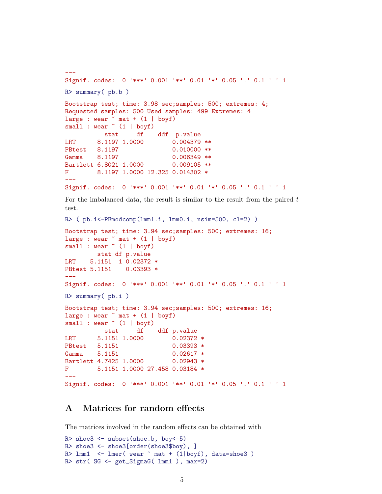```
---
Signif. codes: 0 '***' 0.001 '**' 0.01 '*' 0.05 '.' 0.1 ' ' 1
R> summary( pb.b )
Bootstrap test; time: 3.98 sec;samples: 500; extremes: 4;
Requested samples: 500 Used samples: 499 Extremes: 4
large : wear \tilde{m} mat + (1 | boyf)
small : wear (1 | boyf)
          stat df ddf p.value
LRT 8.1197 1.0000 0.004379 **
PBtest 8.1197 0.010000 **
Gamma 8.1197 0.006349 **
Bartlett 6.8021 1.0000 0.009105 **
F 8.1197 1.0000 12.325 0.014302 *
---
Signif. codes: 0 '***' 0.001 '**' 0.01 '*' 0.05 '.' 0.1 ' ' 1
For the imbalanced data, the result is similar to the result from the paired ttest.
R> ( pb.i<-PBmodcomp(lmm1.i, lmm0.i, nsim=500, cl=2) )
Bootstrap test; time: 3.94 sec;samples: 500; extremes: 16;
large : wear \tilde{m} mat + (1 | boyf)
small : wear (1 | boyf)
        stat df p.value
LRT 5.1151 1 0.02372 *
PBtest 5.1151 0.03393 *
---Signif. codes: 0 '***' 0.001 '**' 0.01 '*' 0.05 '.' 0.1 ' ' 1
R> summary( pb.i )
Bootstrap test; time: 3.94 sec;samples: 500; extremes: 16;
large : wear * mat + (1 | boyf)
small : wear (1 | boyf)stat df ddf p.value
LRT 5.1151 1.0000 0.02372 *
PBtest 5.1151 0.03393 *
Gamma 5.1151 0.02617 *
Bartlett 4.7425 1.0000 0.02943 *
F 5.1151 1.0000 27.458 0.03184 *
---
```
#### A Matrices for random effects

The matrices involved in the random effects can be obtained with

Signif. codes: 0 '\*\*\*' 0.001 '\*\*' 0.01 '\*' 0.05 '.' 0.1 ' ' 1

```
R> shoe3 <- subset(shoe.b, boy<=5)
R> shoe3 <- shoe3[order(shoe3$boy), ]
R > 1mm1 <- lmer( wear ~ mat + (1|boyf), data=shoe3)R> str( SG <- get_SigmaG( lmm1 ), max=2)
```